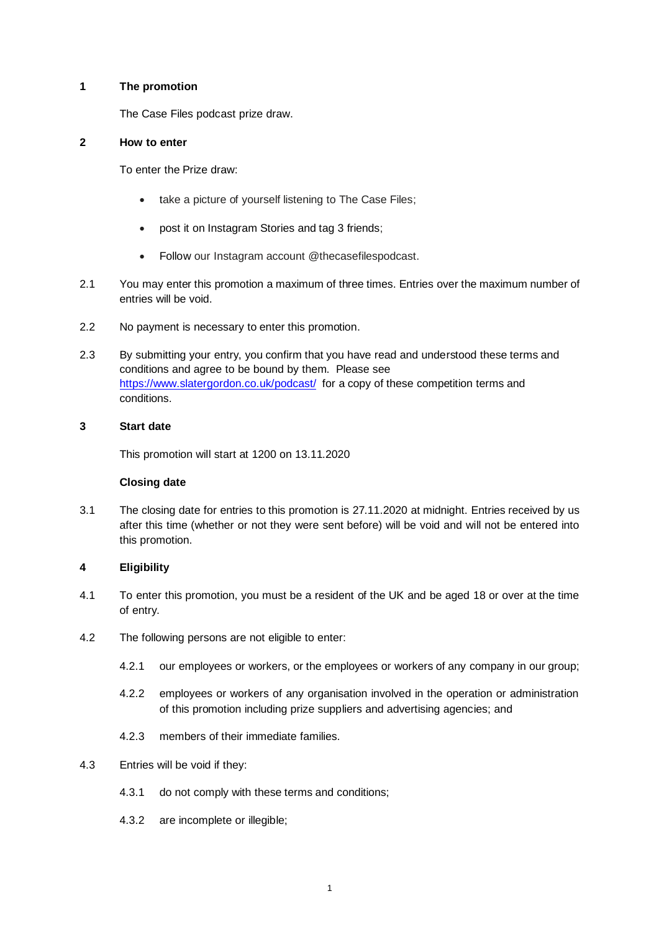#### **1 The promotion**

The Case Files podcast prize draw.

# **2 How to enter**

To enter the Prize draw:

- take a picture of yourself listening to The Case Files;
- post it on Instagram Stories and tag 3 friends;
- Follow our Instagram account @thecasefilespodcast.
- 2.1 You may enter this promotion a maximum of three times. Entries over the maximum number of entries will be void.
- 2.2 No payment is necessary to enter this promotion.
- 2.3 By submitting your entry, you confirm that you have read and understood these terms and conditions and agree to be bound by them. Please see <https://www.slatergordon.co.uk/podcast/> for a copy of these competition terms and conditions.

## **3 Start date**

This promotion will start at 1200 on 13.11.2020

## **Closing date**

3.1 The closing date for entries to this promotion is 27.11.2020 at midnight. Entries received by us after this time (whether or not they were sent before) will be void and will not be entered into this promotion.

## **4 Eligibility**

- 4.1 To enter this promotion, you must be a resident of the UK and be aged 18 or over at the time of entry.
- 4.2 The following persons are not eligible to enter:
	- 4.2.1 our employees or workers, or the employees or workers of any company in our group;
	- 4.2.2 employees or workers of any organisation involved in the operation or administration of this promotion including prize suppliers and advertising agencies; and
	- 4.2.3 members of their immediate families.
- 4.3 Entries will be void if they:
	- 4.3.1 do not comply with these terms and conditions;
	- 4.3.2 are incomplete or illegible;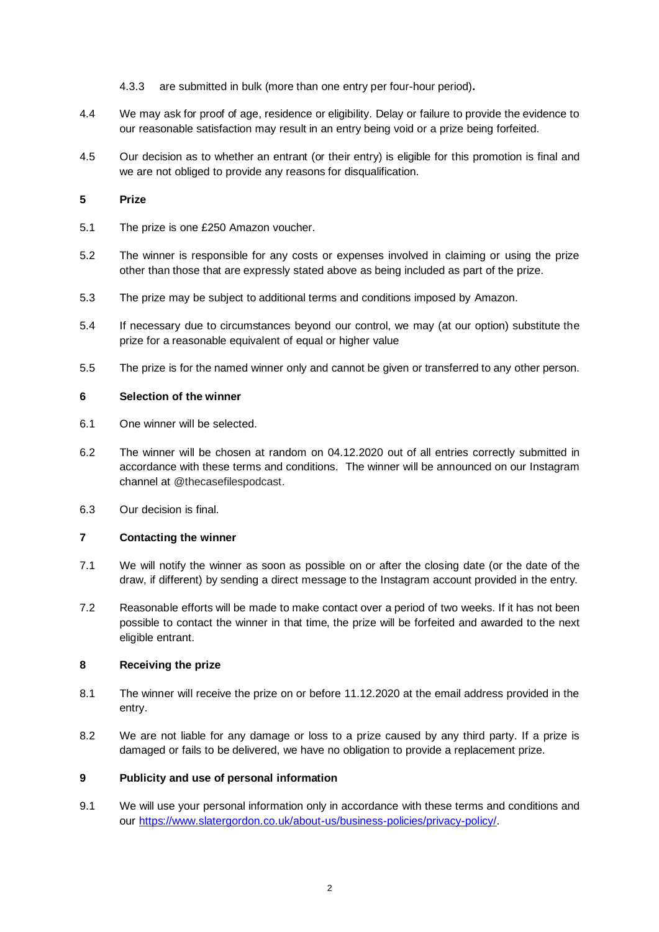- 4.3.3 are submitted in bulk (more than one entry per four-hour period)**.**
- 4.4 We may ask for proof of age, residence or eligibility. Delay or failure to provide the evidence to our reasonable satisfaction may result in an entry being void or a prize being forfeited.
- 4.5 Our decision as to whether an entrant (or their entry) is eligible for this promotion is final and we are not obliged to provide any reasons for disqualification.

# **5 Prize**

- 5.1 The prize is one £250 Amazon voucher.
- 5.2 The winner is responsible for any costs or expenses involved in claiming or using the prize other than those that are expressly stated above as being included as part of the prize.
- 5.3 The prize may be subject to additional terms and conditions imposed by Amazon.
- 5.4 If necessary due to circumstances beyond our control, we may (at our option) substitute the prize for a reasonable equivalent of equal or higher value
- 5.5 The prize is for the named winner only and cannot be given or transferred to any other person.

# **6 Selection of the winner**

- 6.1 One winner will be selected.
- 6.2 The winner will be chosen at random on 04.12.2020 out of all entries correctly submitted in accordance with these terms and conditions. The winner will be announced on our Instagram channel at @thecasefilespodcast.
- 6.3 Our decision is final.

## **7 Contacting the winner**

- 7.1 We will notify the winner as soon as possible on or after the closing date (or the date of the draw, if different) by sending a direct message to the Instagram account provided in the entry.
- 7.2 Reasonable efforts will be made to make contact over a period of two weeks. If it has not been possible to contact the winner in that time, the prize will be forfeited and awarded to the next eligible entrant.

## **8 Receiving the prize**

- 8.1 The winner will receive the prize on or before 11.12.2020 at the email address provided in the entry.
- 8.2 We are not liable for any damage or loss to a prize caused by any third party. If a prize is damaged or fails to be delivered, we have no obligation to provide a replacement prize.

## **9 Publicity and use of personal information**

9.1 We will use your personal information only in accordance with these terms and conditions and our [https://www.slatergordon.co.uk/about-us/business-policies/privacy-policy/.](https://www.slatergordon.co.uk/about-us/business-policies/privacy-policy/)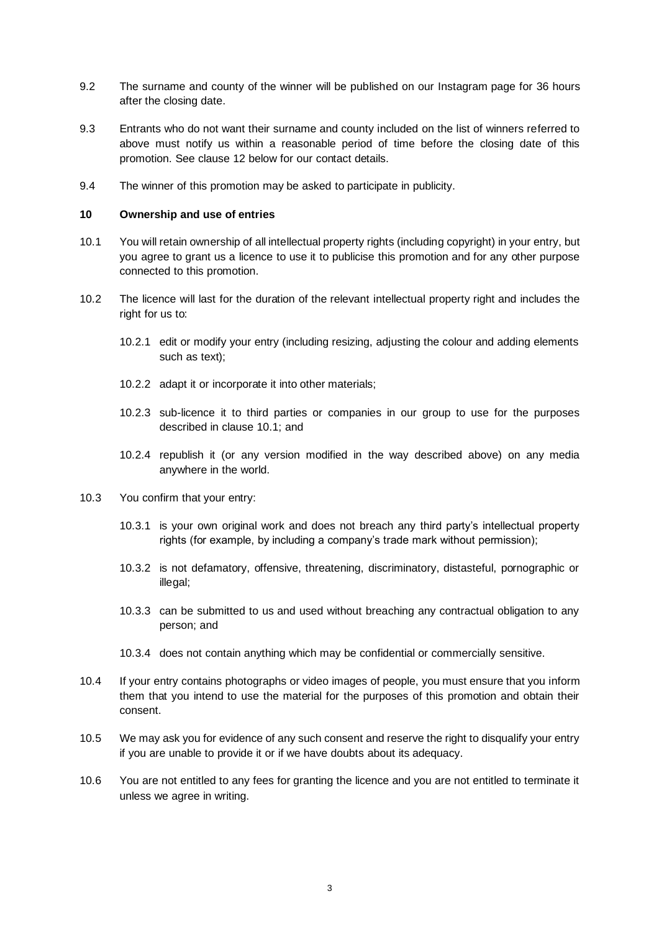- 9.2 The surname and county of the winner will be published on our Instagram page for 36 hours after the closing date.
- 9.3 Entrants who do not want their surname and county included on the list of winners referred to above must notify us within a reasonable period of time before the closing date of this promotion. See clause [12](#page-3-0) below for our contact details.
- 9.4 The winner of this promotion may be asked to participate in publicity.

#### **10 Ownership and use of entries**

- 10.1 You will retain ownership of all intellectual property rights (including copyright) in your entry, but you agree to grant us a licence to use it to publicise this promotion and for any other purpose connected to this promotion.
- <span id="page-2-0"></span>10.2 The licence will last for the duration of the relevant intellectual property right and includes the right for us to:
	- 10.2.1 edit or modify your entry (including resizing, adjusting the colour and adding elements such as text);
	- 10.2.2 adapt it or incorporate it into other materials;
	- 10.2.3 sub-licence it to third parties or companies in our group to use for the purposes described in clause [10.1;](#page-2-0) and
	- 10.2.4 republish it (or any version modified in the way described above) on any media anywhere in the world.
- 10.3 You confirm that your entry:
	- 10.3.1 is your own original work and does not breach any third party's intellectual property rights (for example, by including a company's trade mark without permission);
	- 10.3.2 is not defamatory, offensive, threatening, discriminatory, distasteful, pornographic or illegal;
	- 10.3.3 can be submitted to us and used without breaching any contractual obligation to any person; and
	- 10.3.4 does not contain anything which may be confidential or commercially sensitive.
- 10.4 If your entry contains photographs or video images of people, you must ensure that you inform them that you intend to use the material for the purposes of this promotion and obtain their consent.
- 10.5 We may ask you for evidence of any such consent and reserve the right to disqualify your entry if you are unable to provide it or if we have doubts about its adequacy.
- 10.6 You are not entitled to any fees for granting the licence and you are not entitled to terminate it unless we agree in writing.